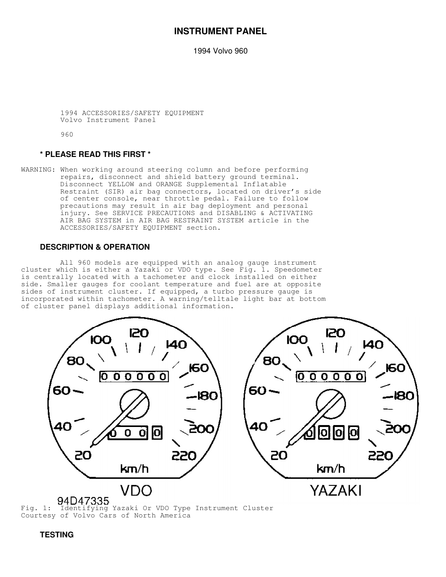# **INSTRUMENT PANEL**

1994 Volvo 960

 1994 ACCESSORIES/SAFETY EQUIPMENT Volvo Instrument Panel

960

## **\* PLEASE READ THIS FIRST \***

WARNING: When working around steering column and before performing repairs, disconnect and shield battery ground terminal. Disconnect YELLOW and ORANGE Supplemental Inflatable Restraint (SIR) air bag connectors, located on driver's side of center console, near throttle pedal. Failure to follow precautions may result in air bag deployment and personal injury. See SERVICE PRECAUTIONS and DISABLING & ACTIVATING AIR BAG SYSTEM in AIR BAG RESTRAINT SYSTEM article in the ACCESSORIES/SAFETY EQUIPMENT section.

## **DESCRIPTION & OPERATION**

 All 960 models are equipped with an analog gauge instrument cluster which is either a Yazaki or VDO type. See Fig. 1. Speedometer is centrally located with a tachometer and clock installed on either side. Smaller gauges for coolant temperature and fuel are at opposite sides of instrument cluster. If equipped, a turbo pressure gauge is incorporated within tachometer. A warning/telltale light bar at bottom of cluster panel displays additional information.



Courtesy of Volvo Cars of North America

 **TESTING**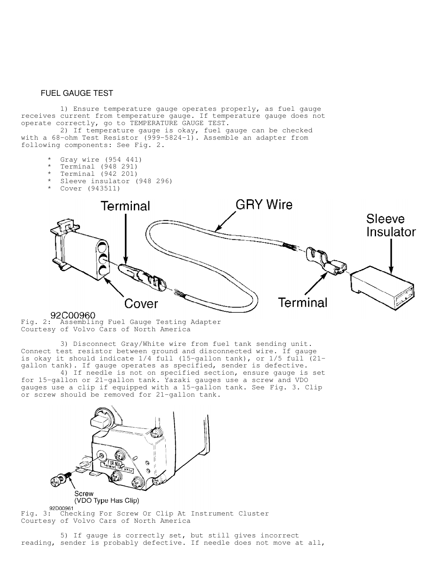## FUEL GAUGE TEST

 1) Ensure temperature gauge operates properly, as fuel gauge receives current from temperature gauge. If temperature gauge does not operate correctly, go to TEMPERATURE GAUGE TEST.

 2) If temperature gauge is okay, fuel gauge can be checked with a 68-ohm Test Resistor (999-5824-1). Assemble an adapter from following components: See Fig. 2.

- Gray wire (954 441)
- Terminal (948 291)
- Terminal (942 201)
- Sleeve insulator (948 296)
- Cover (943511)



92COO960<br>Fig. 2: Assembling Fuel Gauge Testing Adapter Courtesy of Volvo Cars of North America

 3) Disconnect Gray/White wire from fuel tank sending unit. Connect test resistor between ground and disconnected wire. If gauge is okay it should indicate 1/4 full (15-gallon tank), or 1/5 full (21 gallon tank). If gauge operates as specified, sender is defective.

 4) If needle is not on specified section, ensure gauge is set for 15-gallon or 21-gallon tank. Yazaki gauges use a screw and VDO gauges use a clip if equipped with a 15-gallon tank. See Fig. 3. Clip or screw should be removed for 21-gallon tank.



Fig. 3: Checking For Screw Or Clip At Instrument Cluster Courtesy of Volvo Cars of North America

 5) If gauge is correctly set, but still gives incorrect reading, sender is probably defective. If needle does not move at all,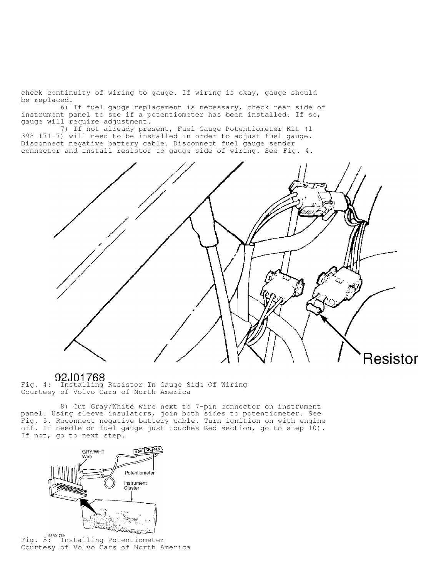check continuity of wiring to gauge. If wiring is okay, gauge should be replaced.

 6) If fuel gauge replacement is necessary, check rear side of instrument panel to see if a potentiometer has been installed. If so, gauge will require adjustment.

 7) If not already present, Fuel Gauge Potentiometer Kit (1 398 171-7) will need to be installed in order to adjust fuel gauge. Disconnect negative battery cable. Disconnect fuel gauge sender connector and install resistor to gauge side of wiring. See Fig. 4.



Fig. 4: Installing Resistor In Gauge Side Of Wiring Courtesy of Volvo Cars of North America

 8) Cut Gray/White wire next to 7-pin connector on instrument panel. Using sleeve insulators, join both sides to potentiometer. See Fig. 5. Reconnect negative battery cable. Turn ignition on with engine off. If needle on fuel gauge just touches Red section, go to step 10). If not, go to next step.



Fig. 5: Installing Potentiometer Courtesy of Volvo Cars of North America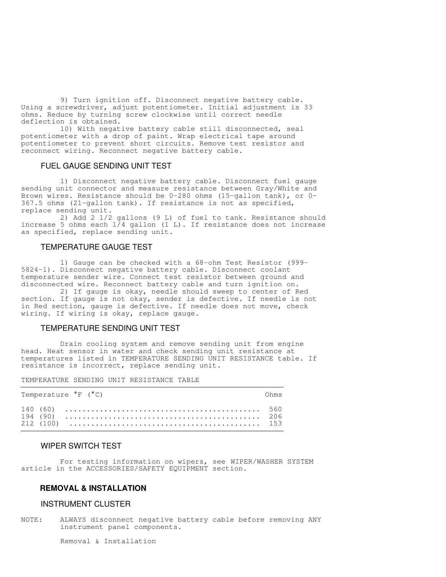9) Turn ignition off. Disconnect negative battery cable. Using a screwdriver, adjust potentiometer. Initial adjustment is 33 ohms. Reduce by turning screw clockwise until correct needle deflection is obtained.

 10) With negative battery cable still disconnected, seal potentiometer with a drop of paint. Wrap electrical tape around potentiometer to prevent short circuits. Remove test resistor and reconnect wiring. Reconnect negative battery cable.

## FUEL GAUGE SENDING UNIT TEST

 1) Disconnect negative battery cable. Disconnect fuel gauge sending unit connector and measure resistance between Gray/White and Brown wires. Resistance should be 0-280 ohms (15-gallon tank), or 0- 367.5 ohms (21-gallon tank). If resistance is not as specified, replace sending unit.

 2) Add 2 1/2 gallons (9 L) of fuel to tank. Resistance should increase 5 ohms each  $1/4$  gallon (1 L). If resistance does not increase as specified, replace sending unit.

### TEMPERATURE GAUGE TEST

 1) Gauge can be checked with a 68-ohm Test Resistor (999- 5824-1). Disconnect negative battery cable. Disconnect coolant temperature sender wire. Connect test resistor between ground and disconnected wire. Reconnect battery cable and turn ignition on.

 2) If gauge is okay, needle should sweep to center of Red section. If gauge is not okay, sender is defective. If needle is not in Red section, gauge is defective. If needle does not move, check wiring. If wiring is okay, replace gauge.

## TEMPERATURE SENDING UNIT TEST

 Drain cooling system and remove sending unit from engine head. Heat sensor in water and check sending unit resistance at temperatures listed in TEMPERATURE SENDING UNIT RESISTANCE table. If resistance is incorrect, replace sending unit.

TEMPERATURE SENDING UNIT RESISTANCE TABLE

| Temperature ${}^{\circ}$ F ( ${}^{\circ}$ C) | ∩hm⊂ |
|----------------------------------------------|------|
|                                              |      |

### WIPER SWITCH TEST

 For testing information on wipers, see WIPER/WASHER SYSTEM article in the ACCESSORIES/SAFETY EQUIPMENT section.

## **REMOVAL & INSTALLATION**

## INSTRUMENT CLUSTER

NOTE: ALWAYS disconnect negative battery cable before removing ANY instrument panel components.

Removal & Installation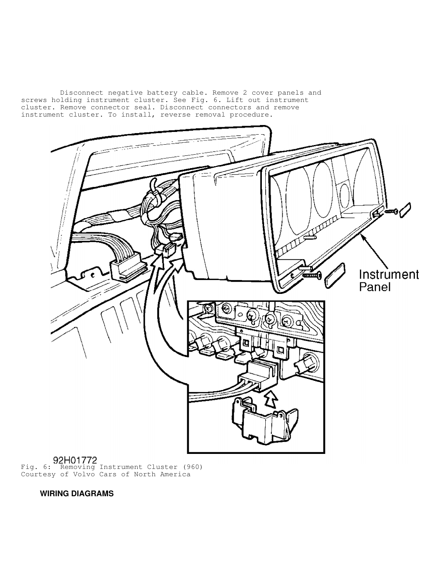Disconnect negative battery cable. Remove 2 cover panels and screws holding instrument cluster. See Fig. 6. Lift out instrument cluster. Remove connector seal. Disconnect connectors and remove instrument cluster. To install, reverse removal procedure.



Fig. 6: Removing Instrument Cluster (960) Courtesy of Volvo Cars of North America

 **WIRING DIAGRAMS**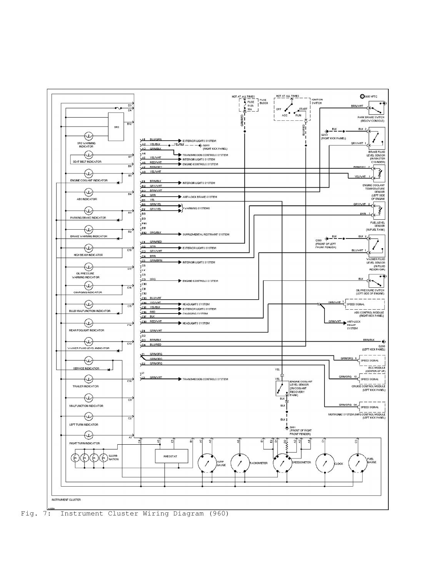

Fig. 7: Instrument Cluster Wiring Diagram (960)